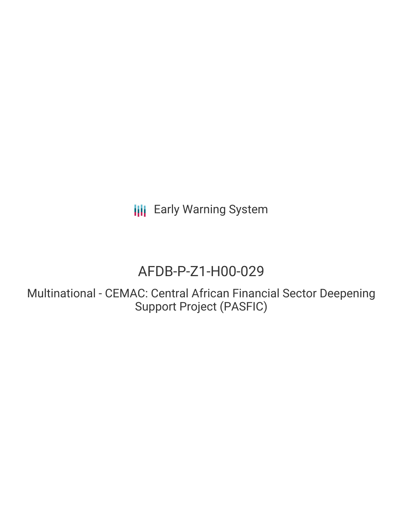**III** Early Warning System

# AFDB-P-Z1-H00-029

Multinational - CEMAC: Central African Financial Sector Deepening Support Project (PASFIC)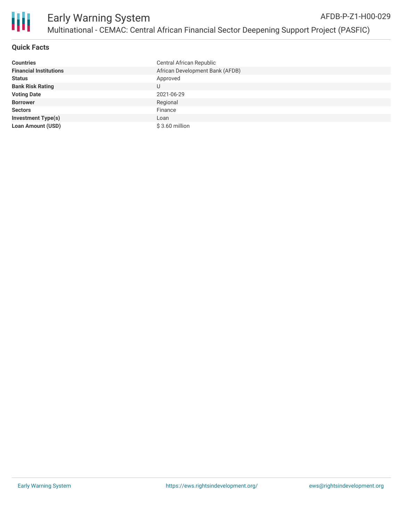

# **Quick Facts**

| <b>Countries</b>              | Central African Republic        |
|-------------------------------|---------------------------------|
| <b>Financial Institutions</b> | African Development Bank (AFDB) |
| <b>Status</b>                 | Approved                        |
| <b>Bank Risk Rating</b>       | U                               |
| <b>Voting Date</b>            | 2021-06-29                      |
| <b>Borrower</b>               | Regional                        |
| <b>Sectors</b>                | Finance                         |
| <b>Investment Type(s)</b>     | Loan                            |
| <b>Loan Amount (USD)</b>      | $$3.60$ million                 |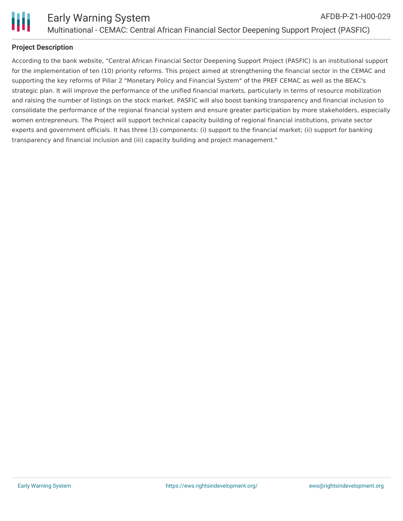

# **Project Description**

According to the bank website, "Central African Financial Sector Deepening Support Project (PASFIC) is an institutional support for the implementation of ten (10) priority reforms. This project aimed at strengthening the financial sector in the CEMAC and supporting the key reforms of Pillar 2 "Monetary Policy and Financial System" of the PREF CEMAC as well as the BEAC's strategic plan. It will improve the performance of the unified financial markets, particularly in terms of resource mobilization and raising the number of listings on the stock market. PASFIC will also boost banking transparency and financial inclusion to consolidate the performance of the regional financial system and ensure greater participation by more stakeholders, especially women entrepreneurs. The Project will support technical capacity building of regional financial institutions, private sector experts and government officials. It has three (3) components: (i) support to the financial market; (ii) support for banking transparency and financial inclusion and (iii) capacity building and project management."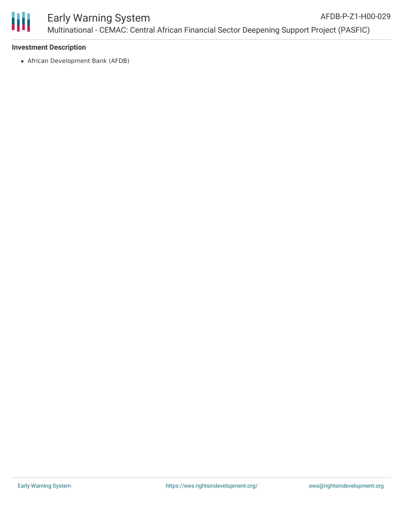

## **Investment Description**

African Development Bank (AFDB)